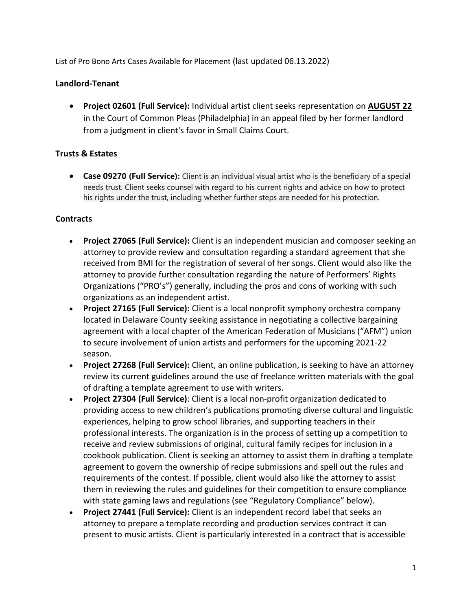List of Pro Bono Arts Cases Available for Placement (last updated 06.13.2022)

## **Landlord-Tenant**

• **Project 02601 (Full Service):** Individual artist client seeks representation on **AUGUST 22** in the Court of Common Pleas (Philadelphia) in an appeal filed by her former landlord from a judgment in client's favor in Small Claims Court.

## **Trusts & Estates**

• **Case 09270 (Full Service):** Client is an individual visual artist who is the beneficiary of a special needs trust. Client seeks counsel with regard to his current rights and advice on how to protect his rights under the trust, including whether further steps are needed for his protection.

#### **Contracts**

- **Project 27065 (Full Service):** Client is an independent musician and composer seeking an attorney to provide review and consultation regarding a standard agreement that she received from BMI for the registration of several of her songs. Client would also like the attorney to provide further consultation regarding the nature of Performers' Rights Organizations ("PRO's") generally, including the pros and cons of working with such organizations as an independent artist.
- **Project 27165 (Full Service):** Client is a local nonprofit symphony orchestra company located in Delaware County seeking assistance in negotiating a collective bargaining agreement with a local chapter of the American Federation of Musicians ("AFM") union to secure involvement of union artists and performers for the upcoming 2021-22 season.
- **Project 27268 (Full Service):** Client, an online publication, is seeking to have an attorney review its current guidelines around the use of freelance written materials with the goal of drafting a template agreement to use with writers.
- **Project 27304 (Full Service)**: Client is a local non-profit organization dedicated to providing access to new children's publications promoting diverse cultural and linguistic experiences, helping to grow school libraries, and supporting teachers in their professional interests. The organization is in the process of setting up a competition to receive and review submissions of original, cultural family recipes for inclusion in a cookbook publication. Client is seeking an attorney to assist them in drafting a template agreement to govern the ownership of recipe submissions and spell out the rules and requirements of the contest. If possible, client would also like the attorney to assist them in reviewing the rules and guidelines for their competition to ensure compliance with state gaming laws and regulations (see "Regulatory Compliance" below).
- **Project 27441 (Full Service):** Client is an independent record label that seeks an attorney to prepare a template recording and production services contract it can present to music artists. Client is particularly interested in a contract that is accessible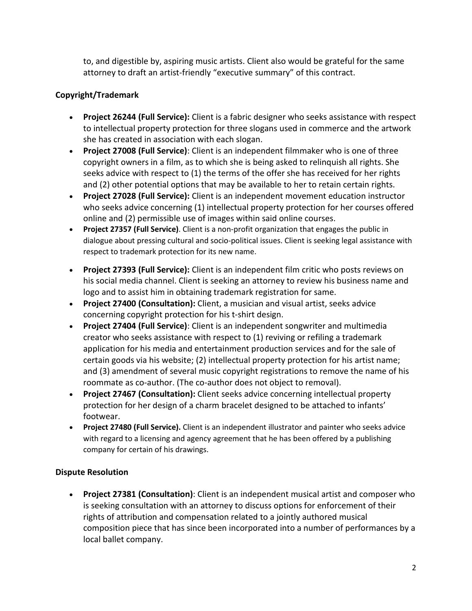to, and digestible by, aspiring music artists. Client also would be grateful for the same attorney to draft an artist-friendly "executive summary" of this contract.

# **Copyright/Trademark**

- **Project 26244 (Full Service):** Client is a fabric designer who seeks assistance with respect to intellectual property protection for three slogans used in commerce and the artwork she has created in association with each slogan.
- **Project 27008 (Full Service)**: Client is an independent filmmaker who is one of three copyright owners in a film, as to which she is being asked to relinquish all rights. She seeks advice with respect to (1) the terms of the offer she has received for her rights and (2) other potential options that may be available to her to retain certain rights.
- **Project 27028 (Full Service):** Client is an independent movement education instructor who seeks advice concerning (1) intellectual property protection for her courses offered online and (2) permissible use of images within said online courses.
- **Project 27357 (Full Service)**. Client is a non-profit organization that engages the public in dialogue about pressing cultural and socio-political issues. Client is seeking legal assistance with respect to trademark protection for its new name.
- **Project 27393 (Full Service):** Client is an independent film critic who posts reviews on his social media channel. Client is seeking an attorney to review his business name and logo and to assist him in obtaining trademark registration for same.
- **Project 27400 (Consultation):** Client, a musician and visual artist, seeks advice concerning copyright protection for his t-shirt design.
- **Project 27404 (Full Service)**: Client is an independent songwriter and multimedia creator who seeks assistance with respect to (1) reviving or refiling a trademark application for his media and entertainment production services and for the sale of certain goods via his website; (2) intellectual property protection for his artist name; and (3) amendment of several music copyright registrations to remove the name of his roommate as co-author. (The co-author does not object to removal).
- **Project 27467 (Consultation):** Client seeks advice concerning intellectual property protection for her design of a charm bracelet designed to be attached to infants' footwear.
- **Project 27480 (Full Service).** Client is an independent illustrator and painter who seeks advice with regard to a licensing and agency agreement that he has been offered by a publishing company for certain of his drawings.

# **Dispute Resolution**

• **Project 27381 (Consultation)**: Client is an independent musical artist and composer who is seeking consultation with an attorney to discuss options for enforcement of their rights of attribution and compensation related to a jointly authored musical composition piece that has since been incorporated into a number of performances by a local ballet company.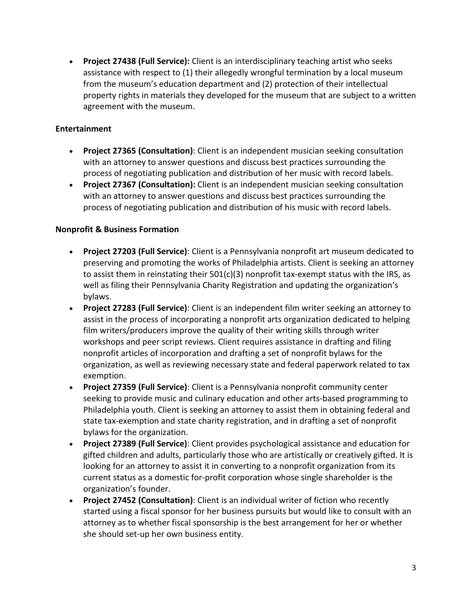• **Project 27438 (Full Service):** Client is an interdisciplinary teaching artist who seeks assistance with respect to (1) their allegedly wrongful termination by a local museum from the museum's education department and (2) protection of their intellectual property rights in materials they developed for the museum that are subject to a written agreement with the museum.

## **Entertainment**

- **Project 27365 (Consultation)**: Client is an independent musician seeking consultation with an attorney to answer questions and discuss best practices surrounding the process of negotiating publication and distribution of her music with record labels.
- **Project 27367 (Consultation):** Client is an independent musician seeking consultation with an attorney to answer questions and discuss best practices surrounding the process of negotiating publication and distribution of his music with record labels.

## **Nonprofit & Business Formation**

- **Project 27203 (Full Service)**: Client is a Pennsylvania nonprofit art museum dedicated to preserving and promoting the works of Philadelphia artists. Client is seeking an attorney to assist them in reinstating their  $501(c)(3)$  nonprofit tax-exempt status with the IRS, as well as filing their Pennsylvania Charity Registration and updating the organization's bylaws.
- **Project 27283 (Full Service)**: Client is an independent film writer seeking an attorney to assist in the process of incorporating a nonprofit arts organization dedicated to helping film writers/producers improve the quality of their writing skills through writer workshops and peer script reviews. Client requires assistance in drafting and filing nonprofit articles of incorporation and drafting a set of nonprofit bylaws for the organization, as well as reviewing necessary state and federal paperwork related to tax exemption.
- **Project 27359 (Full Service)**: Client is a Pennsylvania nonprofit community center seeking to provide music and culinary education and other arts-based programming to Philadelphia youth. Client is seeking an attorney to assist them in obtaining federal and state tax-exemption and state charity registration, and in drafting a set of nonprofit bylaws for the organization.
- **Project 27389 (Full Service)**: Client provides psychological assistance and education for gifted children and adults, particularly those who are artistically or creatively gifted. It is looking for an attorney to assist it in converting to a nonprofit organization from its current status as a domestic for-profit corporation whose single shareholder is the organization's founder.
- **Project 27452 (Consultation)**: Client is an individual writer of fiction who recently started using a fiscal sponsor for her business pursuits but would like to consult with an attorney as to whether fiscal sponsorship is the best arrangement for her or whether she should set-up her own business entity.